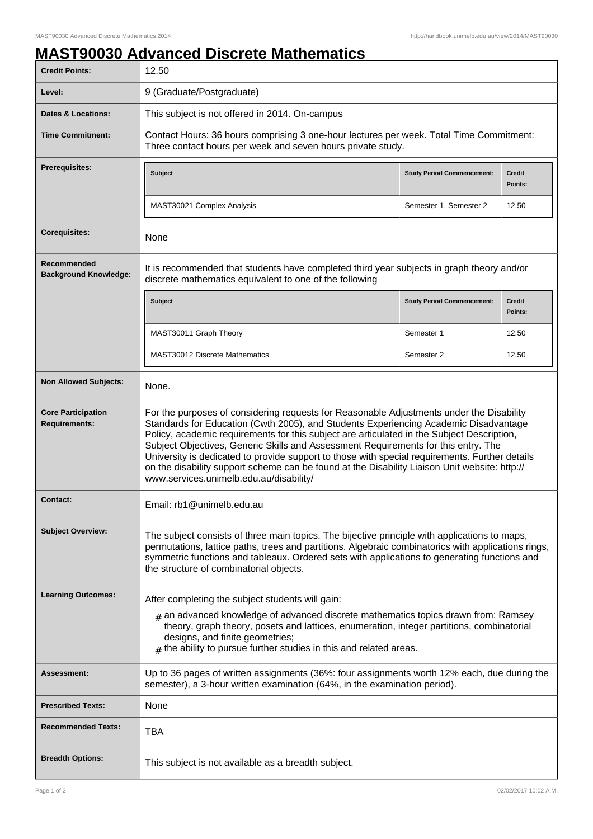## **MAST90030 Advanced Discrete Mathematics**

| <b>Credit Points:</b>                             | 12.50                                                                                                                                                                                                                                                                                                                                                                                                                                                                                                                                                                                                              |                                   |                          |
|---------------------------------------------------|--------------------------------------------------------------------------------------------------------------------------------------------------------------------------------------------------------------------------------------------------------------------------------------------------------------------------------------------------------------------------------------------------------------------------------------------------------------------------------------------------------------------------------------------------------------------------------------------------------------------|-----------------------------------|--------------------------|
| Level:                                            | 9 (Graduate/Postgraduate)                                                                                                                                                                                                                                                                                                                                                                                                                                                                                                                                                                                          |                                   |                          |
| <b>Dates &amp; Locations:</b>                     | This subject is not offered in 2014. On-campus                                                                                                                                                                                                                                                                                                                                                                                                                                                                                                                                                                     |                                   |                          |
| <b>Time Commitment:</b>                           | Contact Hours: 36 hours comprising 3 one-hour lectures per week. Total Time Commitment:<br>Three contact hours per week and seven hours private study.                                                                                                                                                                                                                                                                                                                                                                                                                                                             |                                   |                          |
| <b>Prerequisites:</b>                             | <b>Subject</b>                                                                                                                                                                                                                                                                                                                                                                                                                                                                                                                                                                                                     | <b>Study Period Commencement:</b> | <b>Credit</b><br>Points: |
|                                                   | MAST30021 Complex Analysis                                                                                                                                                                                                                                                                                                                                                                                                                                                                                                                                                                                         | Semester 1, Semester 2            | 12.50                    |
| <b>Corequisites:</b>                              | None                                                                                                                                                                                                                                                                                                                                                                                                                                                                                                                                                                                                               |                                   |                          |
| Recommended<br><b>Background Knowledge:</b>       | It is recommended that students have completed third year subjects in graph theory and/or<br>discrete mathematics equivalent to one of the following                                                                                                                                                                                                                                                                                                                                                                                                                                                               |                                   |                          |
|                                                   | <b>Subject</b>                                                                                                                                                                                                                                                                                                                                                                                                                                                                                                                                                                                                     | <b>Study Period Commencement:</b> | <b>Credit</b><br>Points: |
|                                                   | MAST30011 Graph Theory                                                                                                                                                                                                                                                                                                                                                                                                                                                                                                                                                                                             | Semester 1                        | 12.50                    |
|                                                   | <b>MAST30012 Discrete Mathematics</b>                                                                                                                                                                                                                                                                                                                                                                                                                                                                                                                                                                              | Semester 2                        | 12.50                    |
| <b>Non Allowed Subjects:</b>                      | None.                                                                                                                                                                                                                                                                                                                                                                                                                                                                                                                                                                                                              |                                   |                          |
| <b>Core Participation</b><br><b>Requirements:</b> | For the purposes of considering requests for Reasonable Adjustments under the Disability<br>Standards for Education (Cwth 2005), and Students Experiencing Academic Disadvantage<br>Policy, academic requirements for this subject are articulated in the Subject Description,<br>Subject Objectives, Generic Skills and Assessment Requirements for this entry. The<br>University is dedicated to provide support to those with special requirements. Further details<br>on the disability support scheme can be found at the Disability Liaison Unit website: http://<br>www.services.unimelb.edu.au/disability/ |                                   |                          |
| <b>Contact:</b>                                   | Email: rb1@unimelb.edu.au                                                                                                                                                                                                                                                                                                                                                                                                                                                                                                                                                                                          |                                   |                          |
| <b>Subject Overview:</b>                          | The subject consists of three main topics. The bijective principle with applications to maps,<br>permutations, lattice paths, trees and partitions. Algebraic combinatorics with applications rings,<br>symmetric functions and tableaux. Ordered sets with applications to generating functions and<br>the structure of combinatorial objects.                                                                                                                                                                                                                                                                    |                                   |                          |
| <b>Learning Outcomes:</b>                         | After completing the subject students will gain:                                                                                                                                                                                                                                                                                                                                                                                                                                                                                                                                                                   |                                   |                          |
|                                                   | $#$ an advanced knowledge of advanced discrete mathematics topics drawn from: Ramsey<br>theory, graph theory, posets and lattices, enumeration, integer partitions, combinatorial<br>designs, and finite geometries;<br>$#$ the ability to pursue further studies in this and related areas.                                                                                                                                                                                                                                                                                                                       |                                   |                          |
| <b>Assessment:</b>                                | Up to 36 pages of written assignments (36%: four assignments worth 12% each, due during the<br>semester), a 3-hour written examination (64%, in the examination period).                                                                                                                                                                                                                                                                                                                                                                                                                                           |                                   |                          |
| <b>Prescribed Texts:</b>                          | None                                                                                                                                                                                                                                                                                                                                                                                                                                                                                                                                                                                                               |                                   |                          |
| <b>Recommended Texts:</b>                         | <b>TBA</b>                                                                                                                                                                                                                                                                                                                                                                                                                                                                                                                                                                                                         |                                   |                          |
| <b>Breadth Options:</b>                           | This subject is not available as a breadth subject.                                                                                                                                                                                                                                                                                                                                                                                                                                                                                                                                                                |                                   |                          |